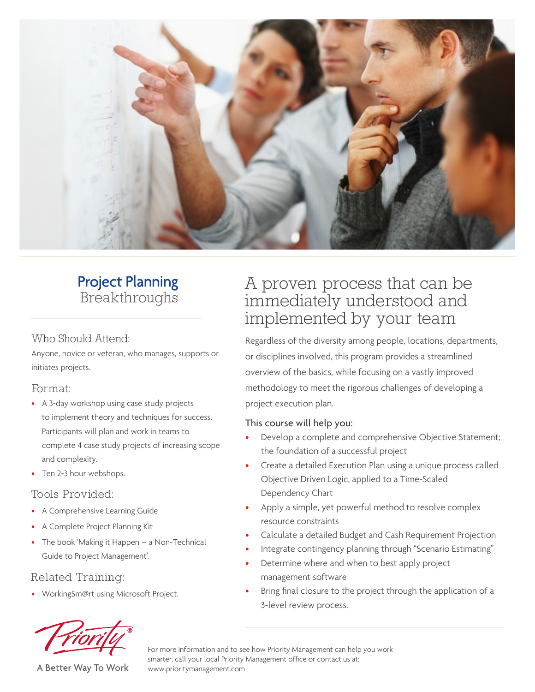

# **Project Planning** Breakthroughs

#### Who Should Attend:

Anyone, novice or veteran, who manages, supports or initiates projects.

#### Format:

- A 3-day workshop using case study projects to implement theory and techniques for success. Participants will plan and work in teams to complete 4 case study projects of increasing scope and complexity.
- Ten 2-3 hour webshops.

## Tools Provided:

- A Comprehensive Learning Guide
- A Complete Project Planning Kit
- The book 'Making it Happen a Non-Technical Guide to Project Management'.

## Related Training:

• WorkingSm@rt using Microsoft Project.

# A proven process that can be immediately understood and implemented by your team

Regardless of the diversity among people, locations, departments, or disciplines involved, this program provides a streamlined overview of the basics, while focusing on a vastly improved methodology to meet the rigorous challenges of developing a project execution plan.

#### This course will help you:

- Develop a complete and comprehensive Objective Statement; the foundation of a successful project
- Create a detailed Execution Plan using a unique process called Objective Driven Logic, applied to a Time-Scaled Dependency Chart
- Apply a simple, yet powerful method to resolve complex resource constraints
- Calculate a detailed Budget and Cash Requirement Projection
- Integrate contingency planning through "Scenario Estimating"
- Determine where and when to best apply project management software
- Bring final closure to the project through the application of a 3-level review process.



A Better Way To Work

For more information and to see how Priority Management can help you work smarter, call your local Priority Management office or contact us at: www.prioritymanagement.com